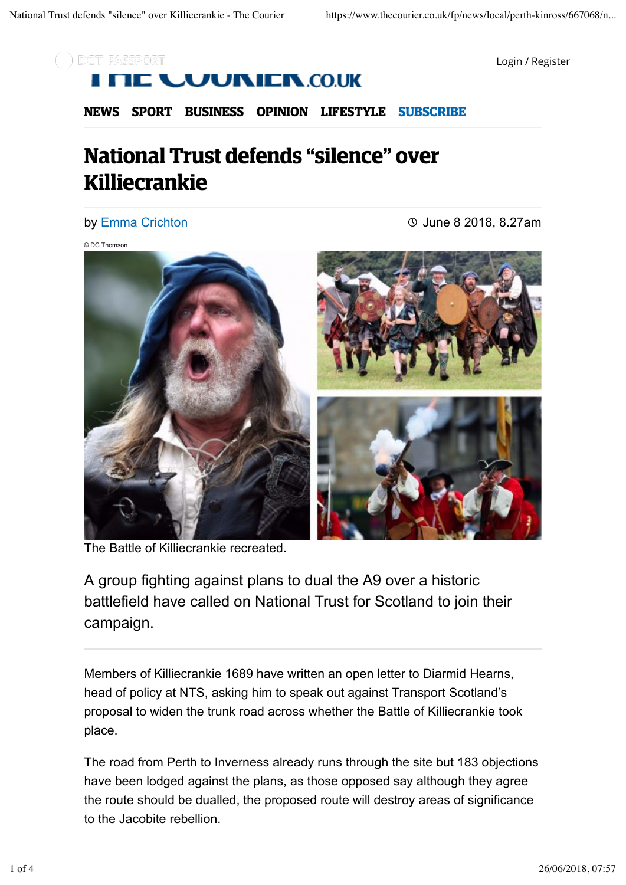

Login / Register

# **UUNIER.CO.UK**

**NEWS SPORT BUSINESS OPINION LIFESTYLE SUBSCRIBE**

# **National Trust defends "silence" over Killiecrankie**

#### by Emma Crichton

June 8 2018, 8.27am

© DC Thomson



The Battle of Killiecrankie recreated.

A group fighting against plans to dual the A9 over a historic battlefield have called on National Trust for Scotland to join their campaign.

Members of Killiecrankie 1689 have written an open letter to Diarmid Hearns, head of policy at NTS, asking him to speak out against Transport Scotland's proposal to widen the trunk road across whether the Battle of Killiecrankie took place.

The road from Perth to Inverness already runs through the site but 183 objections have been lodged against the plans, as those opposed say although they agree the route should be dualled, the proposed route will destroy areas of significance to the Jacobite rebellion.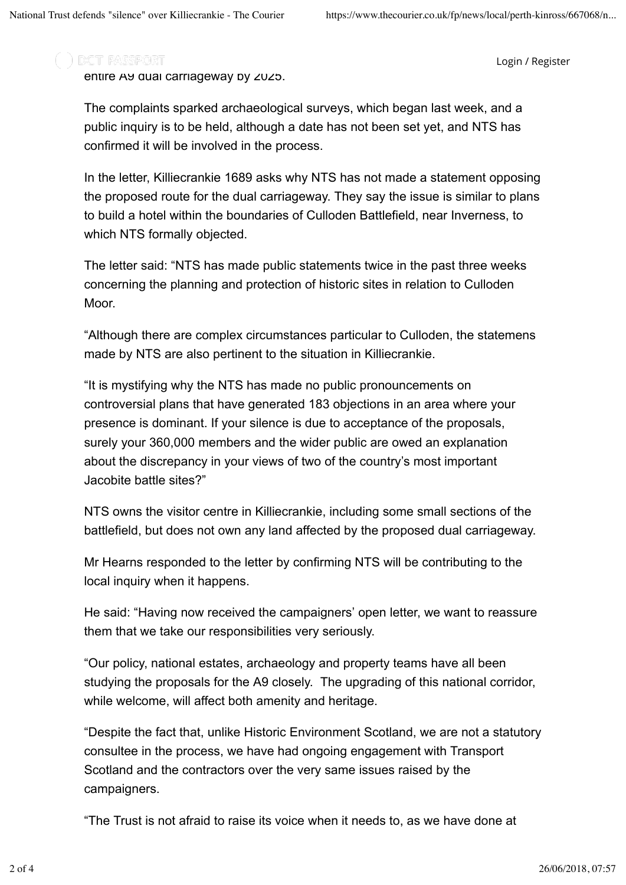### ) DCT PASSPORT

Login / Register

entire A9 dual carriageway by 2025.

The complaints sparked archaeological surveys, which began last week, and a public inquiry is to be held, although a date has not been set yet, and NTS has confirmed it will be involved in the process.

In the letter, Killiecrankie 1689 asks why NTS has not made a statement opposing the proposed route for the dual carriageway. They say the issue is similar to plans to build a hotel within the boundaries of Culloden Battlefield, near Inverness, to which NTS formally objected.

The letter said: "NTS has made public statements twice in the past three weeks concerning the planning and protection of historic sites in relation to Culloden Moor.

"Although there are complex circumstances particular to Culloden, the statemens made by NTS are also pertinent to the situation in Killiecrankie.

"It is mystifying why the NTS has made no public pronouncements on controversial plans that have generated 183 objections in an area where your presence is dominant. If your silence is due to acceptance of the proposals, surely your 360,000 members and the wider public are owed an explanation about the discrepancy in your views of two of the country's most important Jacobite battle sites?"

NTS owns the visitor centre in Killiecrankie, including some small sections of the battlefield, but does not own any land affected by the proposed dual carriageway.

Mr Hearns responded to the letter by confirming NTS will be contributing to the local inquiry when it happens.

He said: "Having now received the campaigners' open letter, we want to reassure them that we take our responsibilities very seriously.

"Our policy, national estates, archaeology and property teams have all been studying the proposals for the A9 closely. The upgrading of this national corridor, while welcome, will affect both amenity and heritage.

"Despite the fact that, unlike Historic Environment Scotland, we are not a statutory consultee in the process, we have had ongoing engagement with Transport Scotland and the contractors over the very same issues raised by the campaigners.

"The Trust is not afraid to raise its voice when it needs to, as we have done at